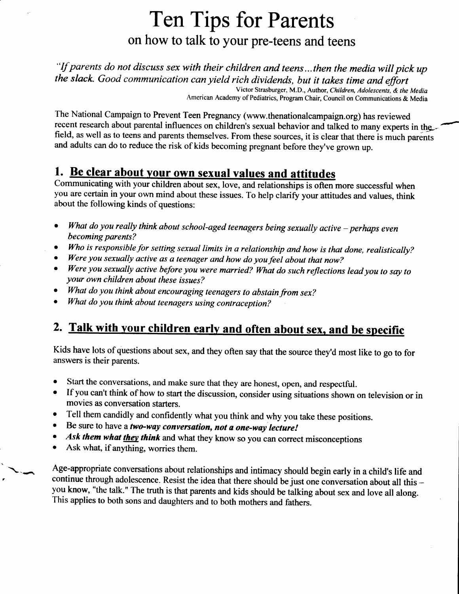# Ten Tips for Parents on how to talk to your pre-teens and teens

"If parents do not discuss sex with their children and teens...then the media will pick up the slack. Good communication can yield rich dividends, but it takes time and effort<br>victor Strasburger, M.D., Author, Children, Adolescents, & the Media<br>American Academy of Pediatrics, Program Chair, Council on Communicat

The National Campaign to Prevent Teen Pregnancy (www.thenationalcampaign.org) has reviewed recent research about parental influences on children's sexual behavior and talked to many experts in the field, as well as to teens and parents themselves. From these sources, it is clear that there is much parents and adults can do to reduce the risk of kids becoming pregnant before they've grown up.

#### 1. Be clear about your own sexual values and attitudes

Communicating with your children about sex, love, and relationships is often more successful when you are certain in your own mind about these issues. To help clarify your attitudes and values, think about the following kinds of questions:

- What do you really think about school-aged teenagers being sexually active  $-$  perhaps even becoming parents?
- o Who is responsible for setting sexual limits in a relationship and how is that done, realistically?
- a Were you sexually active as a teenager and how do you feel about that now?
- o Were you sexually active before you were married? What do such reflections lead you to say to your own children about these issues?
- What do you think about encouraging teenagers to abstain from sex? o
- what do you think about teenagers using contraception? a

# 2. Talk with your children early and often about sex, and be specific

Kids have lots of questions about sex, and they often say that the source they'd most like to go to for answers is their parents.

- Start the conversations, and make sure that they are honest, open, and respectful.<br>• If you can't think of how to start the discussion consider using situations shown
- If you can't think of how to start the discussion, consider using situations shown on television or in movies as conversation starters.
- Tell them candidly and confidently what you think and why you take these positions.
- Be sure to have a two-way conversation, not a one-way lecture!
- Ask them what they think and what they know so you can correct misconceptions
- o Ask what, if anything, worries them.

 $\blacktriangledown.$ 

Age-appropriate conversations about relationships and intimacy should begin early in a child's life and continue through adolescence. Resist the idea that there should be just one conversation about all this you know, "the talk." The truth is that parents and kids should be talking about sex and love all along. This applies to both sons and daughters and to both mothers and fathers.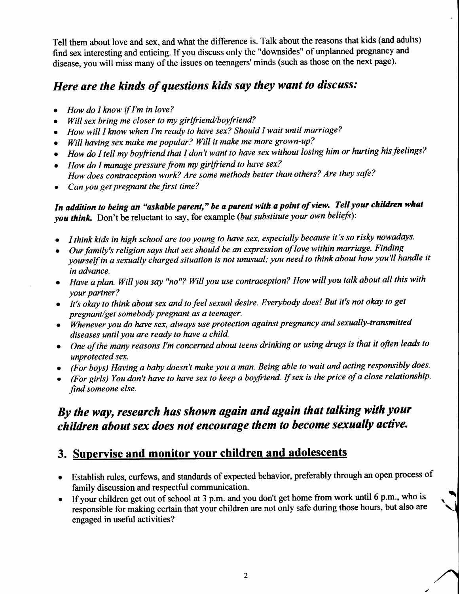Tell them about love and sex, and what the difference is. Talk about the reasons that kids (and adults) find sex interesting and enticing. If you discuss only the "downsides" of unplanned pregnancy and disease, you will miss many of the issues on teenagers' minds (such as those on the next page).

# Here are the kinds of questions kids say they want to discuss:

- $\bullet$  How do I know if I'm in love?
- Will sex bring me closer to my girlfriend/boyfriend?
- $\bullet$  How will I know when I'm ready to have sex? Should I wait until marriage?
- $\bullet$  Will having sex make me popular? Will it make me more grown-up?
- How do I tell my boyfriend that I don't want to have sex without losing him or hurting his feelings?
- How do I manage pressure from my girlfriend to have sex? How does contraception work? Are some methods better than others? Are they safe?
- Can you get pregnant the first time?

In addition to being an "askable parent," be a parent with a point of view. Tell your children what you think. Don't be reluctant to say, for example (but substitute your own beliefs):

- I think kids in high school are too young to have sex, especially because it's so risky nowadays.
- Our family's religion says that sex should be an expression of love within marriage. Finding yourself in a sexually charged situation is not unusual; you need to think about how you'll handle it in advance.
- $\bullet$  Have a plan. Will you say "no"? Will you use contraception? How will you talk about all this with your partner?
- $\bullet$  It's okay to think about sex and to feel sexual desire. Everybody does! But it's not okay to get pregnant/get somebody pregnant as a teenager.
- Whenever you do have sex, always use protection against pregnancy and sexually-transmitted diseases until you are ready to have a child.
- One of the many reasons I'm concerned about teens drinking or using drugs is that it often leads to unprotected sex.
- (For boys) Having a baby doesn't make you a man. Being able to wait and acting responsibly does.
- $\bullet$  (For girls) You don't have to have sex to keep a boyfriend. If sex is the price of a close relationship, find someone else.

## By the way, research has shown again and again that talking with your children about sex does not encourage them to become sexually active.

#### 3. Supervise and monitor vour children and adolescents

- r Establish rules, curfews, and standards of expected behavior, preferably tbrough an open process of family discussion and respectful communication.
- If your children get out of school at 3 p.m. and you don't get home from work until 6 p.m., who is responsible for making certain that your children are not only safe during those hours, but also are engaged in useful activities?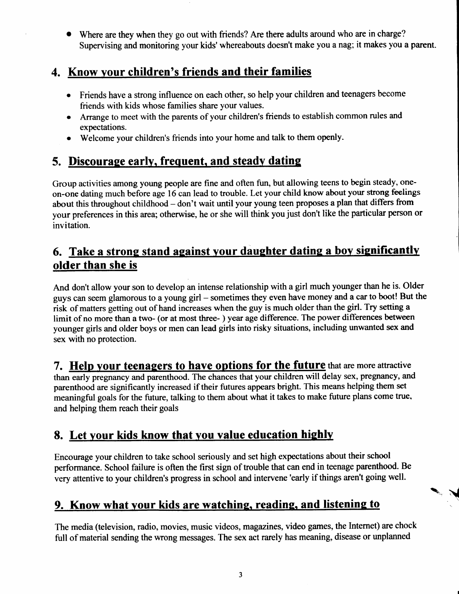Where are they when they go out with friends? Are there adults around who are in charge? Supervising and monitoring your kids' whereabouts doesn't make you a nag; it makes you a parent.

#### 4. Know vour children's friends and their families

- Friends have a strong influence on each other, so help your children and teenagers become friends with kids whose families share your values.
- . Arrange to meet with the parents of your children's friends to establish common rules and expectations.
- Welcome your children's friends into your home and talk to them openly.

### 5. Discourage early, frequent, and steady dating

Group activities among young people are fine and often fun, but allowing teens to begin steady, oneon-one dating much before age 16 can lead to trouble. Let your child know about your strong feelings about this throughout childhood - don't wait until your young teen proposes a plan that differs from your preferences in this area; otherwise, he or she will think you just don't like the particular person or invitation.

#### 6. Take a strong stand against your daughter dating a boy significantly older than she is

And don't allow your son to develop an intense relationship with a girl much younger than he is. Older guys can seem glamorous to a young girl - sometimes they even have money and a car to boot! But the risk of matters getting out of hand increases when the guy is much older than the girl. Try setting a limit of no more than a two- (or at most three-) year age difference. The power differences between younger girls and older boys or men can lead girls into risky situations, including unwanted sex and sex with no protection.

7. Help your teenagers to have options for the future that are more attractive than early pregnancy and parenthood. The chances that your children will delay sex, pregnancy, and parenthood are significantly increased if their futures appears bright. This means helping them set meaningful goals for the future, talking to them about what it takes to make future plans come true, and helping them reach their goals

## 8. Let your kids know that you value education highly

Encourage your children to take school seriously and set high expectations about their school performance. School failure is often the first sign of trouble that can end in teenage parenthood. Be very attentive to your children's progress in school and intervene 'early if things aren't going well.

\

#### 9. Know what your kids are watching, reading, and listening to

The media (television, radio, movies, music videos, magazines, video games, the Internet) are chock full of material sending the wrong messages. The sex act rarely has meaning, disease or unplanned